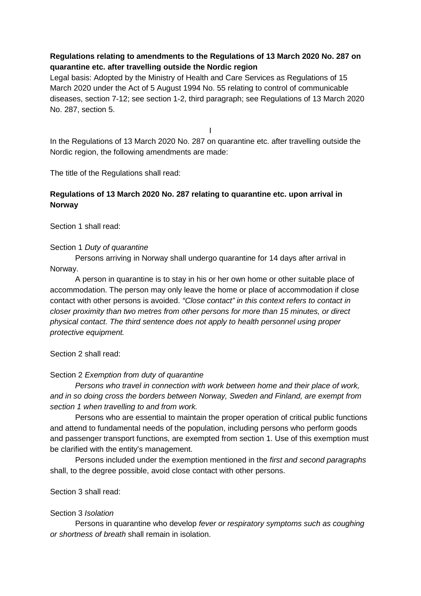## **Regulations relating to amendments to the Regulations of 13 March 2020 No. 287 on quarantine etc. after travelling outside the Nordic region**

Legal basis: Adopted by the Ministry of Health and Care Services as Regulations of 15 March 2020 under the Act of 5 August 1994 No. 55 relating to control of communicable diseases, section 7-12; see section 1-2, third paragraph; see Regulations of 13 March 2020 No. 287, section 5.

I

In the Regulations of 13 March 2020 No. 287 on quarantine etc. after travelling outside the Nordic region, the following amendments are made:

The title of the Regulations shall read:

# **Regulations of 13 March 2020 No. 287 relating to quarantine etc. upon arrival in Norway**

Section 1 shall read:

Section 1 *Duty of quarantine*

Persons arriving in Norway shall undergo quarantine for 14 days after arrival in Norway.

A person in quarantine is to stay in his or her own home or other suitable place of accommodation. The person may only leave the home or place of accommodation if close contact with other persons is avoided. *"Close contact" in this context refers to contact in closer proximity than two metres from other persons for more than 15 minutes, or direct physical contact. The third sentence does not apply to health personnel using proper protective equipment.*

Section 2 shall read:

### Section 2 *Exemption from duty of quarantine*

*Persons who travel in connection with work between home and their place of work, and in so doing cross the borders between Norway, Sweden and Finland, are exempt from section 1 when travelling to and from work.* 

Persons who are essential to maintain the proper operation of critical public functions and attend to fundamental needs of the population, including persons who perform goods and passenger transport functions, are exempted from section 1. Use of this exemption must be clarified with the entity's management.

Persons included under the exemption mentioned in the *first and second paragraphs* shall, to the degree possible, avoid close contact with other persons.

Section 3 shall read:

### Section 3 *Isolation*

Persons in quarantine who develop *fever or respiratory symptoms such as coughing or shortness of breath* shall remain in isolation.